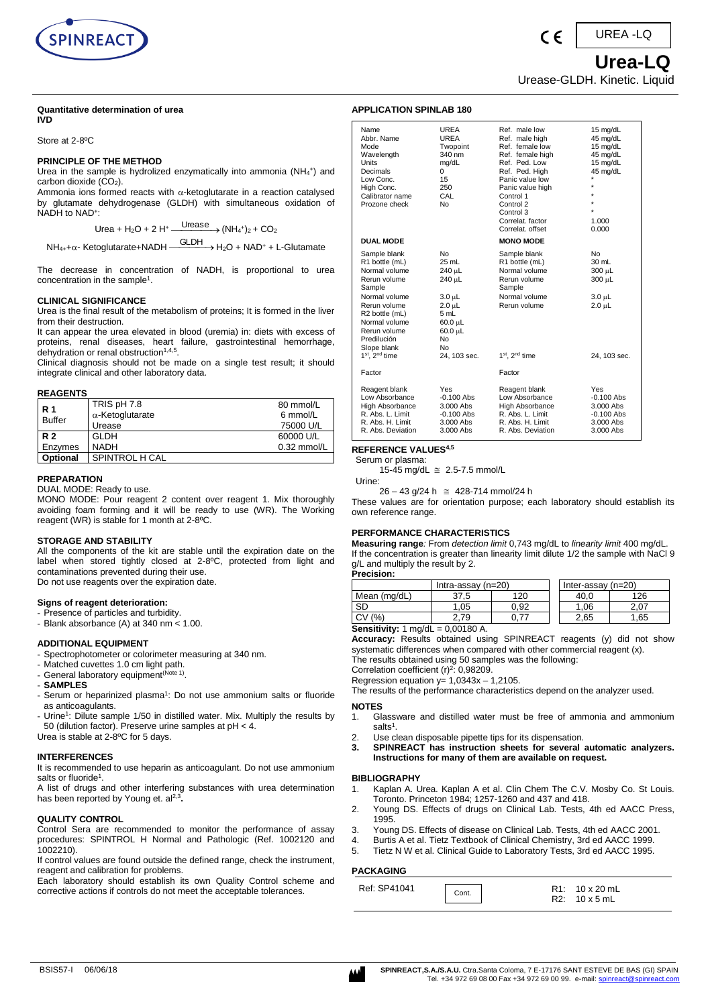

#### **Quantitative determination of urea IVD**

Store at 2-8ºC

#### **PRINCIPLE OF THE METHOD**

Urea in the sample is hydrolized enzymatically into ammonia (NH<sub>4</sub>+) and carbon dioxide  $(\dot{CO}_2)$ .

Ammonia ions formed reacts with  $\alpha$ -ketoglutarate in a reaction catalysed by glutamate dehydrogenase (GLDH) with simultaneous oxidation of NADH to NAD<sup>+</sup> :

> Urea +  $H_2O$  + 2  $H^+$  - $\frac{\text{Urease}}{\text{Urease}} (NH_4^{\text{+}})_2 + \text{CO}_2$

 $NH_{4+}+\alpha$ - Ketoglutarate+NADH -GLDH H2O + NAD<sup>+</sup> + L-Glutamate

The decrease in concentration of NADH, is proportional to urea concentration in the sample<sup>1</sup>.

#### **CLINICAL SIGNIFICANCE**

Urea is the final result of the metabolism of proteins; It is formed in the liver from their destruction.

It can appear the urea elevated in blood (uremia) in: diets with excess of proteins, renal diseases, heart failure, gastrointestinal hemorrhage, dehydration or renal obstruction<sup>1,4,5</sup>.

Clinical diagnosis should not be made on a single test result; it should integrate clinical and other laboratory data.

#### **REAGENTS**

| <b>R</b> 1      | TRIS pH 7.8             | 80 mmol/L     |
|-----------------|-------------------------|---------------|
| <b>Buffer</b>   | $\alpha$ -Ketoglutarate | 6 mmol/L      |
|                 | Urease                  | 75000 U/L     |
| R <sub>2</sub>  | <b>GLDH</b>             | 60000 U/L     |
| Enzymes         | <b>NADH</b>             | $0.32$ mmol/L |
| <b>Optional</b> | SPINTROL H CAL          |               |

#### **PREPARATION**

DUAL MODE: Ready to use.

MONO MODE: Pour reagent 2 content over reagent 1. Mix thoroughly avoiding foam forming and it will be ready to use (WR). The Working reagent (WR) is stable for 1 month at 2-8ºC.

# **STORAGE AND STABILITY**

All the components of the kit are stable until the expiration date on the label when stored tightly closed at 2-8ºC, protected from light and contaminations prevented during their use. Do not use reagents over the expiration date.

#### **Signs of reagent deterioration:**

- Presence of particles and turbidity.
- Blank absorbance (A) at 340 nm < 1.00.

# **ADDITIONAL EQUIPMENT**

- Spectrophotometer or colorimeter measuring at 340 nm.
- Matched cuvettes 1.0 cm light path.
- General laboratory equipment<sup>(Note 1)</sup>.
- **SAMPLES**
- Serum or heparinized plasma<sup>1</sup>: Do not use ammonium salts or fluoride as anticoagulants.
- Urine<sup>1</sup>: Dilute sample 1/50 in distilled water. Mix. Multiply the results by 50 (dilution factor). Preserve urine samples at pH < 4.

Urea is stable at 2-8ºC for 5 days.

#### **INTERFERENCES**

It is recommended to use heparin as anticoagulant. Do not use ammonium salts or fluoride<sup>1</sup>.

A list of drugs and other interfering substances with urea determination has been reported by Young et. al<sup>2,3</sup>.

# **QUALITY CONTROL**

Control Sera are recommended to monitor the performance of assay procedures: SPINTROL H Normal and Pathologic (Ref. 1002120 and 1002210).

If control values are found outside the defined range, check the instrument, reagent and calibration for problems.

Each laboratory should establish its own Quality Control scheme and corrective actions if controls do not meet the acceptable tolerances.

| Name<br>Abbr. Name<br>Mode<br>Wavelength<br>Units<br>Decimals<br>Low Conc.<br>High Conc.<br>Calibrator name<br>Prozone check                                                                                                                      | <b>UREA</b><br><b>UREA</b><br>Twopoint<br>340 nm<br>mg/dL<br>0<br>15<br>250<br>CAL<br>No                                              | Ref. male low<br>Ref. male high<br>Ref. female low<br>Ref. female high<br>Ref. Ped. Low<br>Ref. Ped. High<br>Panic value low<br>Panic value high<br>Control 1<br>Control 2<br>Control 3<br>Correlat, factor<br>Correlat, offset | 15 mg/dL<br>45 mg/dL<br>15 mg/dL<br>45 mg/dL<br>15 mg/dL<br>45 mg/dL<br>1.000<br>0.000 |
|---------------------------------------------------------------------------------------------------------------------------------------------------------------------------------------------------------------------------------------------------|---------------------------------------------------------------------------------------------------------------------------------------|---------------------------------------------------------------------------------------------------------------------------------------------------------------------------------------------------------------------------------|----------------------------------------------------------------------------------------|
| <b>DUAL MODE</b>                                                                                                                                                                                                                                  |                                                                                                                                       | <b>MONO MODE</b>                                                                                                                                                                                                                |                                                                                        |
| Sample blank<br>R1 bottle (mL)<br>Normal volume<br>Rerun volume<br>Sample<br>Normal volume<br>Rerun volume<br>R <sub>2</sub> bottle (mL)<br>Normal volume<br>Rerun volume<br>Predilución<br>Slope blank<br>1 <sup>st</sup> , 2 <sup>nd</sup> time | No<br>25 mL<br>240 µL<br>240 µL<br>$3.0 \mu L$<br>$2.0 \mu L$<br>5 mL<br>60.0 µL<br>60.0 µL<br><b>No</b><br><b>No</b><br>24, 103 sec. | Sample blank<br>R1 bottle (mL)<br>Normal volume<br>Rerun volume<br>Sample<br>Normal volume<br>Rerun volume<br>1 <sup>st</sup> , 2 <sup>nd</sup> time                                                                            | No<br>30 mL<br>300 µL<br>$300 \mu L$<br>$3.0 \mu L$<br>$2.0 \mu L$<br>24, 103 sec.     |
| Factor                                                                                                                                                                                                                                            |                                                                                                                                       | Factor                                                                                                                                                                                                                          |                                                                                        |
| Reagent blank<br>Low Absorbance<br><b>High Absorbance</b><br>R. Abs. L. Limit<br>R. Abs. H. Limit                                                                                                                                                 | Yes<br>$-0.100$ Abs<br>3.000 Abs<br>$-0.100$ Abs<br>3.000 Abs                                                                         | Reagent blank<br>Low Absorbance<br><b>High Absorbance</b><br>R. Abs. L. Limit<br>R. Abs. H. Limit                                                                                                                               | Yes<br>$-0.100$ Abs<br>3.000 Abs<br>$-0.100$ Abs<br>3.000 Abs                          |

R. Abs. Deviation 3.000 Abs R. Abs. Deviation 3.000 Abs

### **REFERENCE VALUES4,5**

**APPLICATION SPINLAB 180**

Serum or plasma:

15-45 mg/dL 2.5-7.5 mmol/L

Urine:

26 – 43 g/24 h 428-714 mmol/24 h These values are for orientation purpose; each laboratory should establish its own reference range.

# **PERFORMANCE CHARACTERISTICS**

**Measuring range***:* From *detection limit* 0,743 mg/dL to *linearity limit* 400 mg/dL. If the concentration is greater than linearity limit dilute 1/2 the sample with NaCl 9 g/L and multiply the result by 2. **Precision:**

| .                                                                              |                      |      |  |                      |      |
|--------------------------------------------------------------------------------|----------------------|------|--|----------------------|------|
|                                                                                | Intra-assay $(n=20)$ |      |  | Inter-assay $(n=20)$ |      |
| Mean (mg/dL)                                                                   | 37.5                 | 120  |  | 40.C                 | 126  |
| <b>SD</b>                                                                      | .05                  | 0.92 |  | .06                  | 2.07 |
| СV<br>(% )                                                                     | 2.79                 |      |  | 2,65                 | .65  |
| <b>ALC: 12</b><br>$\cdots$<br>$\sim$<br>$\begin{array}{c} \bullet \end{array}$ |                      |      |  |                      |      |

**Sensitivity:** 1 mg/dL = 0,00180 A.

**Accuracy:** Results obtained using SPINREACT reagents (y) did not show systematic differences when compared with other commercial reagent (x).

The results obtained using 50 samples was the following: Correlation coefficient  $(r)^2$ : 0,98209.

Regression equation  $y= 1,0343x - 1,2105$ .

The results of the performance characteristics depend on the analyzer used.

# **NOTES**

- 1. Glassware and distilled water must be free of ammonia and ammonium salts<sup>1</sup>.
- Use clean disposable pipette tips for its dispensation.
- **3. SPINREACT has instruction sheets for several automatic analyzers. Instructions for many of them are available on request.**

#### **BIBLIOGRAPHY**

- 1. Kaplan A. Urea. Kaplan A et al. Clin Chem The C.V. Mosby Co. St Louis. Toronto. Princeton 1984; 1257-1260 and 437 and 418.
- 2. Young DS. Effects of drugs on Clinical Lab. Tests, 4th ed AACC Press, 1995.
- 3. Young DS. Effects of disease on Clinical Lab. Tests, 4th ed AACC 2001.
- 4. Burtis A et al. Tietz Textbook of Clinical Chemistry, 3rd ed AACC 1999.
- 5. Tietz N W et al. Clinical Guide to Laboratory Tests, 3rd ed AACC 1995.

#### **PACKAGING**

| Ref: SP41041<br>$R1: 10 \times 20$ mL<br>Cont.<br>$R2: 10 \times 5$ mL |  |
|------------------------------------------------------------------------|--|
|                                                                        |  |

 **Urea-LQ** Urease-GLDH. Kinetic. Liquid

 $\epsilon$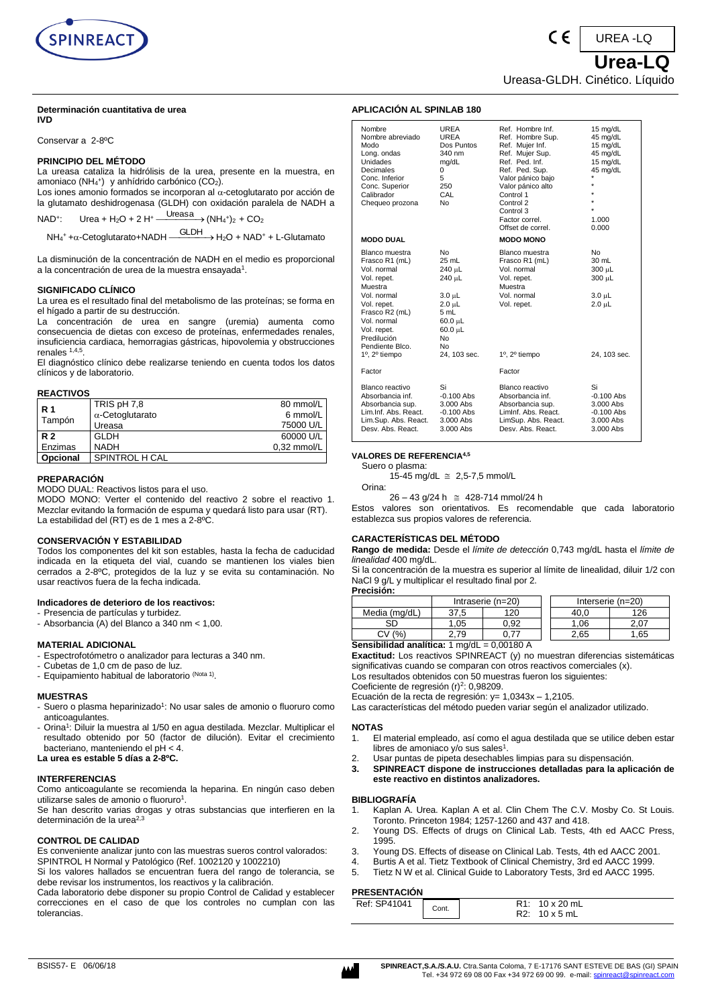

#### **Determinación cuantitativa de urea IVD**

Conservar a 2-8ºC

# **PRINCIPIO DEL MÉTODO**

La ureasa cataliza la hidrólisis de la urea, presente en la muestra, en amoniaco (NH<sup>4</sup> + ) y anhídrido carbónico (CO2).

Los iones amonio formados se incorporan al  $\alpha$ -cetoglutarato por acción de la glutamato deshidrogenasa (GLDH) con oxidación paralela de NADH a

NAD<sup>+</sup> : Urea + H<sub>2</sub>O + 2 H<sup>+</sup>  $\xrightarrow{\text{Ureasa}} (NH_4^+)$ <sub>2</sub> + CO<sub>2</sub>

 $NH_4$ <sup>+</sup> + $\alpha$ -Cetoglutarato+NADH  $\xrightarrow{\text{GLDH}}$  + H<sub>2</sub>O + NAD<sup>+</sup> + L-Glutamato

La disminución de la concentración de NADH en el medio es proporcional a la concentración de urea de la muestra ensayada $^{\rm 1}.$ 

#### **SIGNIFICADO CLÍNICO**

La urea es el resultado final del metabolismo de las proteínas; se forma en el hígado a partir de su destrucción.<br>La concentración de urea en

sangre (uremia) aumenta como consecuencia de dietas con exceso de proteínas, enfermedades renales, insuficiencia cardiaca, hemorragias gástricas, hipovolemia y obstrucciones renales 1,4,5 .

El diagnóstico clínico debe realizarse teniendo en cuenta todos los datos clínicos y de laboratorio.

#### **REACTIVOS**

| <b>R</b> 1 | TRIS pH 7,8             | 80 mmol/L     |
|------------|-------------------------|---------------|
|            | $\alpha$ -Cetoglutarato | 6 mmol/L      |
| Tampón     | Ureasa                  | 75000 U/L     |
| R 2        | <b>GLDH</b>             | 60000 U/L     |
| Enzimas    | <b>NADH</b>             | $0.32$ mmol/L |
| Opcional   | SPINTROL H CAL          |               |

# **PREPARACIÓN**

MODO DUAL: Reactivos listos para el uso.

MODO MONO: Verter el contenido del reactivo 2 sobre el reactivo 1. Mezclar evitando la formación de espuma y quedará listo para usar (RT). La estabilidad del (RT) es de 1 mes a 2-8ºC.

# **CONSERVACIÓN Y ESTABILIDAD**

Todos los componentes del kit son estables, hasta la fecha de caducidad indicada en la etiqueta del vial, cuando se mantienen los viales bien cerrados a 2-8ºC, protegidos de la luz y se evita su contaminación. No usar reactivos fuera de la fecha indicada.

#### **Indicadores de deterioro de los reactivos:**

- Presencia de partículas y turbidez.
- Absorbancia (A) del Blanco a 340 nm <  $1,00$ .

# **MATERIAL ADICIONAL**

- Espectrofotómetro o analizador para lecturas a 340 nm.
- Cubetas de 1,0 cm de paso de luz.
- Equipamiento habitual de laboratorio (Nota 1).

#### **MUESTRAS**

- Suero o plasma heparinizado<sup>1</sup>: No usar sales de amonio o fluoruro como anticoagulantes.
- Orina<sup>1</sup>: Diluir la muestra al 1/50 en agua destilada. Mezclar. Multiplicar el resultado obtenido por 50 (factor de dilución). Evitar el crecimiento bacteriano, manteniendo el pH < 4.

**La urea es estable 5 días a 2-8ºC.**

# **INTERFERENCIAS**

Como anticoagulante se recomienda la heparina. En ningún caso deben utilizarse sales de amonio o fluoruro<sup>1</sup>.

Se han descrito varias drogas y otras substancias que interfieren en la determinación de la urea<sup>2,3</sup>

#### **CONTROL DE CALIDAD**

Es conveniente analizar junto con las muestras sueros control valorados: SPINTROL H Normal y Patológico (Ref. 1002120 y 1002210)

Si los valores hallados se encuentran fuera del rango de tolerancia, se debe revisar los instrumentos, los reactivos y la calibración.

Cada laboratorio debe disponer su propio Control de Calidad y establecer correcciones en el caso de que los controles no cumplan con las tolerancias.

| Nombre<br>Nombre abreviado<br>Modo<br>Long. ondas<br><b>Unidades</b><br>Decimales<br>Conc. Inferior<br>Conc. Superior<br>Calibrador<br>Chequeo prozona                                    | <b>UREA</b><br>UREA<br>Dos Puntos<br>340 nm<br>mg/dL<br>0<br>5<br>250<br>CAL<br>N <sub>0</sub>                              | Ref. Hombre Inf.<br>Ref. Hombre Sup.<br>Ref. Mujer Inf.<br>Ref. Mujer Sup.<br>Ref. Ped. Inf.<br>Ref. Ped. Sup.<br>Valor pánico bajo<br>Valor pánico alto<br>Control 1<br>Control 2<br>Control 3<br>Factor correl.<br>Offset de correl. | 15 mg/dL<br>45 mg/dL<br>15 mg/dL<br>45 mg/dL<br>15 mg/dL<br>45 mg/dL<br>$\star$<br>$\star$<br>$\star$<br>$\star$<br>$\star$<br>1.000<br>0.000 |
|-------------------------------------------------------------------------------------------------------------------------------------------------------------------------------------------|-----------------------------------------------------------------------------------------------------------------------------|----------------------------------------------------------------------------------------------------------------------------------------------------------------------------------------------------------------------------------------|-----------------------------------------------------------------------------------------------------------------------------------------------|
| <b>MODO DUAL</b>                                                                                                                                                                          |                                                                                                                             | <b>MODO MONO</b>                                                                                                                                                                                                                       |                                                                                                                                               |
| Blanco muestra<br>Frasco R1 (mL)<br>Vol. normal<br>Vol. repet.<br>Muestra<br>Vol. normal<br>Vol. repet.<br>Frasco R2 (mL)<br>Vol. normal<br>Vol. repet.<br>Predilución<br>Pendiente Blco. | No<br>$25$ mL<br>240 µL<br>240 µL<br>$3.0 \mu L$<br>$2.0 \mu L$<br>5 mL<br>$60.0 \mu L$<br>60.0 µL<br>No.<br>N <sub>0</sub> | Blanco muestra<br>Frasco R1 (mL)<br>Vol. normal<br>Vol. repet.<br>Muestra<br>Vol. normal<br>Vol. repet.                                                                                                                                | <b>No</b><br>$30 \text{ mL}$<br>300 µL<br>300 µL<br>$3.0 \mu L$<br>$2.0 \mu L$                                                                |
| $1^\circ$ , $2^\circ$ tiempo                                                                                                                                                              | 24, 103 sec.                                                                                                                | 1º, 2º tiempo                                                                                                                                                                                                                          | 24. 103 sec.                                                                                                                                  |
| Factor                                                                                                                                                                                    |                                                                                                                             | Factor                                                                                                                                                                                                                                 |                                                                                                                                               |
| Blanco reactivo<br>Absorbancia inf.<br>Absorbancia sup.<br>Lim.Inf. Abs. React.<br>Lim Sun, Abs. React.                                                                                   | Si<br>$-0.100$ Abs<br>3.000 Abs<br>$-0.100$ Abs<br>3,000 Abs                                                                | Blanco reactivo<br>Absorbancia inf.<br>Absorbancia sup.<br>Limlnf. Abs. React.<br>LimSup Abs React                                                                                                                                     | Si<br>$-0.100$ Abs<br>3.000 Abs<br>$-0.100$ Abs<br>3,000 Abs                                                                                  |

 **Urea-LQ**

UREA -LQ

Ureasa-GLDH. Cinético. Líquido

 $\epsilon$ 

#### **VALORES DE REFERENCIA4,5**

**APLICACIÓN AL SPINLAB 180**

Suero o plasma: 15-45 mg/dL 2,5-7,5 mmol/L

Orina:

26 – 43 g/24 h 428-714 mmol/24 h

Estos valores son orientativos. Es recomendable que cada laboratorio establezca sus propios valores de referencia.

Desv. Abs. React.

Lim.Sup. Abs. React. 3.000 Abs LimSup. Abs. React. 3.000 Abs

# **CARACTERÍSTICAS DEL MÉTODO**

**Rango de medida:** Desde el *límite de detección* 0,743 mg/dL hasta el *límite de linealidad* 400 mg/dL.

Si la concentración de la muestra es superior al límite de linealidad, diluir 1/2 con NaCl 9 g/L y multiplicar el resultado final por 2. **Precisión:**

| .                                                                   |                     |      |                     |      |  |
|---------------------------------------------------------------------|---------------------|------|---------------------|------|--|
|                                                                     | Intraserie $(n=20)$ |      | Interserie $(n=20)$ |      |  |
| Media (mg/dL)                                                       | 37.5                | 120  | 40.0                | 126  |  |
| SD                                                                  | 1.05                | 0.92 | 1.06                | 2.07 |  |
| CV(% )                                                              | 2.79                |      | 2.65                | ∣.65 |  |
| <b>Sensibilidad analítica:</b> $1 \text{mq/dL} = 0.00180 \text{ A}$ |                     |      |                     |      |  |

**Exactitud:** Los reactivos SPINREACT (y) no muestran diferencias sistemáticas significativas cuando se comparan con otros reactivos comerciales (x). Los resultados obtenidos con 50 muestras fueron los siguientes:

Coeficiente de regresión (r)<sup>2</sup>: 0,98209.

Ecuación de la recta de regresión: y= 1,0343x – 1,2105.

Las características del método pueden variar según el analizador utilizado.

# **NOTAS**

- 1. El material empleado, así como el agua destilada que se utilice deben estar libres de amoniaco y/o sus sales $1$ .
- 2. Usar puntas de pipeta desechables limpias para su dispensación.
- **3. SPINREACT dispone de instrucciones detalladas para la aplicación de este reactivo en distintos analizadores.**

#### **BIBLIOGRAFÍA**

- 1. Kaplan A. Urea. Kaplan A et al. Clin Chem The C.V. Mosby Co. St Louis. Toronto. Princeton 1984; 1257-1260 and 437 and 418.
- 2. Young DS. Effects of drugs on Clinical Lab. Tests, 4th ed AACC Press, 1995.
- 3. Young DS. Effects of disease on Clinical Lab. Tests, 4th ed AACC 2001.
- 4. Burtis A et al. Tietz Textbook of Clinical Chemistry, 3rd ed AACC 1999.<br>5. Tietz N W et al. Clinical Guide to Laboratory Tests. 3rd ed AACC 1995.
	- 5. Tietz N W et al. Clinical Guide to Laboratory Tests, 3rd ed AACC 1995.

#### **PRESENTACIÓN**

| .            |       |                                                     |  |  |
|--------------|-------|-----------------------------------------------------|--|--|
| Ref: SP41041 | Cont. | $10 \times 20$ mL<br>R1:<br>$10 \times 5$ mL<br>ロワ・ |  |  |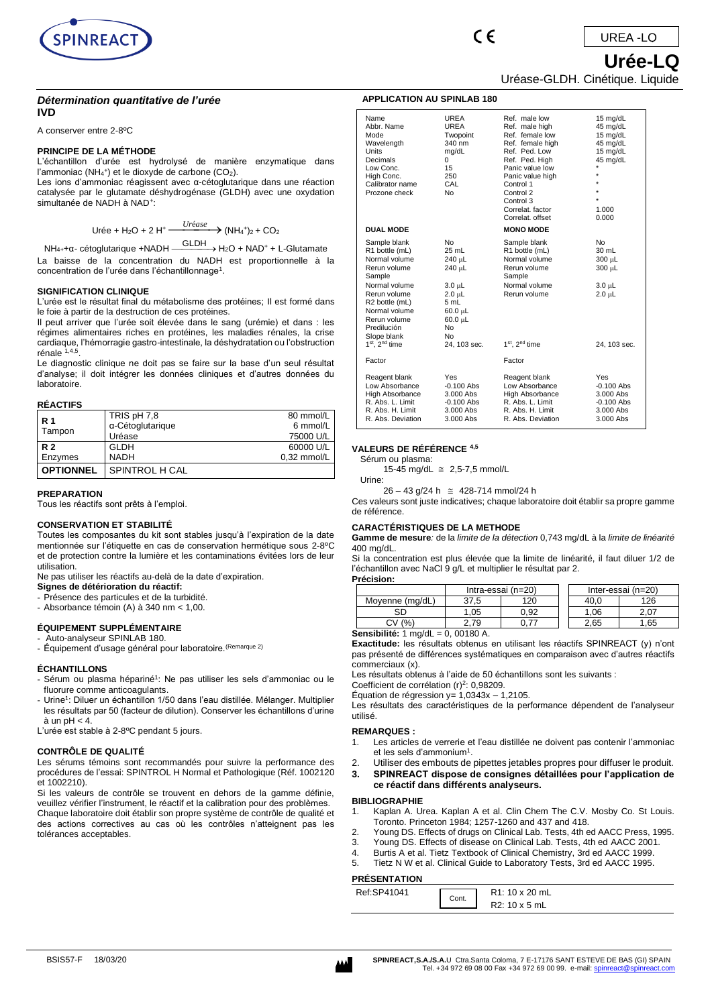

# *Détermination quantitative de l'urée* **IVD**

A conserver entre 2-8ºC

#### **PRINCIPE DE LA MÉTHODE**

L'échantillon d'urée est hydrolysé de manière enzymatique dans l'ammoniac (NH<sub>4</sub>+) et le dioxyde de carbone (CO<sub>2</sub>).

Les ions d'ammoniac réagissent avec α-cétoglutarique dans une réaction catalysée par le glutamate déshydrogénase (GLDH) avec une oxydation simultanée de NADH à NAD<sup>+</sup>:

$$
\text{Urée} + \text{H}_2\text{O} + 2 \text{ H}^+ \xrightarrow{Uréase} (\text{NH}_4^{\text{+}})_2 + \text{CO}_2
$$

NH<sub>4+</sub>+α- cétoglutarique +NADH  $\xrightarrow{\text{GLDH}}$  + H<sub>2</sub>O + NAD<sup>+</sup> + L-Glutamate La baisse de la concentration du NADH est proportionnelle à la concentration de l'urée dans l'échantillonnage<sup>1</sup>.

#### **SIGNIFICATION CLINIQUE**

L'urée est le résultat final du métabolisme des protéines; Il est formé dans le foie à partir de la destruction de ces protéines.

Il peut arriver que l'urée soit élevée dans le sang (urémie) et dans : les régimes alimentaires riches en protéines, les maladies rénales, la crise cardiaque, l'hémorragie gastro-intestinale, la déshydratation ou l'obstruction rénale 1,4,5 .

Le diagnostic clinique ne doit pas se faire sur la base d'un seul résultat d'analyse; il doit intégrer les données cliniques et d'autres données du laboratoire.

#### **RÉACTIFS**

| R 1              | TRIS pH 7,8      | 80 mmol/L     |
|------------------|------------------|---------------|
|                  | α-Cétoglutarique | 6 mmol/L      |
| Tampon           | Uréase           | 75000 U/L     |
| <b>R2</b>        | GLDH             | 60000 U/L     |
| Enzymes          | <b>NADH</b>      | $0.32$ mmol/L |
| <b>OPTIONNEL</b> | SPINTROL H CAL   |               |

#### **PREPARATION**

Tous les réactifs sont prêts à l'emploi.

#### **CONSERVATION ET STABILITÉ**

Toutes les composantes du kit sont stables jusqu'à l'expiration de la date mentionnée sur l'étiquette en cas de conservation hermétique sous 2-8ºC et de protection contre la lumière et les contaminations évitées lors de leur utilisation.

Ne pas utiliser les réactifs au-delà de la date d'expiration.

**Signes de détérioration du réactif:** 

- Présence des particules et de la turbidité.

- Absorbance témoin (A) à 340 nm < 1,00.

# **ÉQUIPEMENT SUPPLÉMENTAIRE**

Auto-analyseur SPINLAB 180. - Équipement d'usage général pour laboratoire.(Remarque 2)

#### **ÉCHANTILLONS**

- Sérum ou plasma hépariné<sup>1</sup>: Ne pas utiliser les sels d'ammoniac ou le fluorure comme anticoagulants.
- Urine<sup>1</sup>: Diluer un échantillon 1/50 dans l'eau distillée. Mélanger. Multiplier les résultats par 50 (facteur de dilution). Conserver les échantillons d'urine  $\lambda$  un pH  $< 4$ .

L'urée est stable à 2-8ºC pendant 5 jours.

# **CONTRÔLE DE QUALITÉ**

Les sérums témoins sont recommandés pour suivre la performance des procédures de l'essai: SPINTROL H Normal et Pathologique (Réf. 1002120 .<br>et 1002210).

Si les valeurs de contrôle se trouvent en dehors de la gamme définie, veuillez vérifier l'instrument, le réactif et la calibration pour des problèmes. Chaque laboratoire doit établir son propre système de contrôle de qualité et des actions correctives au cas où les contrôles n'atteignent pas les tolérances acceptables.

# Uréase-GLDH. Cinétique. Liquide

 $\epsilon$ 

| Name<br>Abbr. Name<br>Mode<br>Wavelength<br>Units<br>Decimals<br>Low Conc.<br>High Conc.<br>Calibrator name<br>Prozone check                                                                | UREA<br><b>UREA</b><br>Twopoint<br>340 nm<br>mg/dL<br>$\Omega$<br>15<br>250<br>CAL<br>N <sub>0</sub>                            | Ref. male low<br>Ref. male high<br>Ref. female low<br>Ref. female high<br>Ref. Ped. Low<br>Ref. Ped. High<br>Panic value low<br>Panic value high<br>Control 1<br>Control 2<br>Control 3<br>Correlat, factor<br>Correlat, offset | 15 mg/dL<br>45 mg/dL<br>15 mg/dL<br>45 mg/dL<br>15 mg/dL<br>45 mg/dL<br>$\star$<br>÷<br>÷<br>÷<br>÷<br>1.000<br>0.000 |
|---------------------------------------------------------------------------------------------------------------------------------------------------------------------------------------------|---------------------------------------------------------------------------------------------------------------------------------|---------------------------------------------------------------------------------------------------------------------------------------------------------------------------------------------------------------------------------|-----------------------------------------------------------------------------------------------------------------------|
| <b>DUAL MODE</b>                                                                                                                                                                            |                                                                                                                                 | <b>MONO MODE</b>                                                                                                                                                                                                                |                                                                                                                       |
| Sample blank<br>R1 bottle (mL)<br>Normal volume<br>Rerun volume<br>Sample<br>Normal volume<br>Rerun volume<br>R2 bottle (mL)<br>Normal volume<br>Rerun volume<br>Predilución<br>Slope blank | No<br>25 mL<br>240 µL<br>240 µL<br>$3.0 \mu L$<br>2.0 µL<br>5 mL<br>$60.0 \mu L$<br>$60.0 \mu L$<br>N <sub>0</sub><br><b>No</b> | Sample blank<br>R1 bottle (mL)<br>Normal volume<br>Rerun volume<br>Sample<br>Normal volume<br>Rerun volume                                                                                                                      | No<br>30 mL<br>300 µL<br>300 µL<br>$3.0 \mu L$<br>$2.0 \mu L$                                                         |
| $1st$ . $2nd$ time                                                                                                                                                                          | 24. 103 sec.                                                                                                                    | 1 <sup>st</sup> . 2 <sup>nd</sup> time                                                                                                                                                                                          | 24. 103 sec.                                                                                                          |
| Factor                                                                                                                                                                                      |                                                                                                                                 | Factor                                                                                                                                                                                                                          |                                                                                                                       |
| Reagent blank<br>Low Absorbance<br>High Absorbance<br>R. Abs. L. Limit<br>R. Abs. H. Limit<br>R. Abs. Deviation                                                                             | Yes<br>$-0.100$ Abs<br>3.000 Abs<br>$-0.100$ Abs<br>3.000 Abs<br>3.000 Abs                                                      | Reagent blank<br>Low Absorbance<br>High Absorbance<br>R. Abs. L. Limit<br>R. Abs. H. Limit<br>R. Abs. Deviation                                                                                                                 | Yes<br>$-0.100$ Abs<br>3.000 Abs<br>$-0.100$ Abs<br>3.000 Abs<br>3.000 Abs                                            |

#### **VALEURS DE RÉFÉRENCE 4,5**

Sérum ou plasma:

15-45 mg/dL 2,5-7,5 mmol/L Urine:

26 – 43 g/24 h 428-714 mmol/24 h

Ces valeurs sont juste indicatives; chaque laboratoire doit établir sa propre gamme de référence.

#### **CARACTÉRISTIQUES DE LA METHODE**

**Gamme de mesure***:* de la *limite de la détection* 0,743 mg/dL à la *limite de linéarité* 400 mg/dL.

Si la concentration est plus élevée que la limite de linéarité, il faut diluer 1/2 de l'échantillon avec NaCl 9 g/L et multiplier le résultat par 2. **Précision:**

|                       | .                  |      |  |      |                    |
|-----------------------|--------------------|------|--|------|--------------------|
|                       | Intra-essai (n=20) |      |  |      | Inter-essai (n=20) |
| Movenne (ma/dL)       | 37.5               | 120  |  | 40.C | 126                |
| SD                    | .05                | 0.92 |  | .06  | 2.07               |
| СV<br>$(%^{2})^{1/2}$ | 2.79               |      |  | 2.65 | .65                |

**Sensibilité:** 1 mg/dL = 0, 00180 A.

**Exactitude:** les résultats obtenus en utilisant les réactifs SPINREACT (y) n'ont pas présenté de différences systématiques en comparaison avec d'autres réactifs commerciaux (x).

Les résultats obtenus à l'aide de 50 échantillons sont les suivants :

Coefficient de corrélation (r)<sup>2</sup>: 0,98209.

Equation de régression y=  $1,0343x - 1,2105$ .

Les résultats des caractéristiques de la performance dépendent de l'analyseur utilisé.

#### **REMARQUES :**

- 1. Les articles de verrerie et l'eau distillée ne doivent pas contenir l'ammoniac et les sels d'ammonium<sup>1</sup>.
- 2. Utiliser des embouts de pipettes jetables propres pour diffuser le produit.
- **3. SPINREACT dispose de consignes détaillées pour l'application de** 
	- **ce réactif dans différents analyseurs.**

# **BIBLIOGRAPHIE**

- 1. Kaplan A. Urea. Kaplan A et al. Clin Chem The C.V. Mosby Co. St Louis. Toronto. Princeton 1984; 1257-1260 and 437 and 418.
- 2. Young DS. Effects of drugs on Clinical Lab. Tests, 4th ed AACC Press, 1995.
- 3. Young DS. Effects of disease on Clinical Lab. Tests, 4th ed AACC 2001.
- 4. Burtis A et al. Tietz Textbook of Clinical Chemistry, 3rd ed AACC 1999. 5. Tietz N W et al. Clinical Guide to Laboratory Tests, 3rd ed AACC 1995.
- **PRÉSENTATION**

| ,,,,,,,,,,,,,,,, |       |                                              |
|------------------|-------|----------------------------------------------|
| Ref:SP41041      | Cont. | R <sub>1</sub> : 10 x 20 mL<br>R2: 10 x 5 mL |
|                  |       |                                              |

 **Urée-LQ**